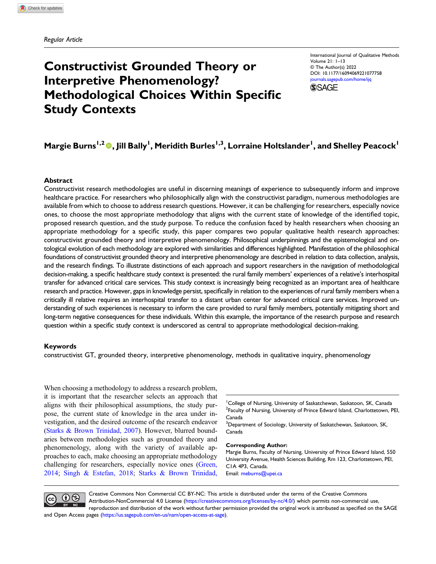# Constructivist Grounded Theory or Interpretive Phenomenology? Methodological Choices Within Specific Study Contexts

International Journal of Qualitative Methods Volume 21: 1–13 © The Author(s) 2022 DOI: [10.1177/16094069221077758](https://doi.org/10.1177/16094069221077758) [journals.sagepub.com/home/ijq](https://journals.sagepub.com/home/ijq) **SSAGE** 

## Margie Burns<sup>1,2</sup> ©, Jill Bally<sup>1</sup>, Meridith Burles<sup>1,3</sup>, Lorraine Holtslander<sup>1</sup>, and Shelley Peacock<sup>1</sup>

#### Abstract

Constructivist research methodologies are useful in discerning meanings of experience to subsequently inform and improve healthcare practice. For researchers who philosophically align with the constructivist paradigm, numerous methodologies are available from which to choose to address research questions. However, it can be challenging for researchers, especially novice ones, to choose the most appropriate methodology that aligns with the current state of knowledge of the identified topic, proposed research question, and the study purpose. To reduce the confusion faced by health researchers when choosing an appropriate methodology for a specific study, this paper compares two popular qualitative health research approaches: constructivist grounded theory and interpretive phenomenology. Philosophical underpinnings and the epistemological and ontological evolution of each methodology are explored with similarities and differences highlighted. Manifestation of the philosophical foundations of constructivist grounded theory and interpretive phenomenology are described in relation to data collection, analysis, and the research findings. To illustrate distinctions of each approach and support researchers in the navigation of methodological decision-making, a specific healthcare study context is presented: the rural family members' experiences of a relative's interhospital transfer for advanced critical care services. This study context is increasingly being recognized as an important area of healthcare research and practice. However, gaps in knowledge persist, specifically in relation to the experiences of rural family members when a critically ill relative requires an interhospital transfer to a distant urban center for advanced critical care services. Improved understanding of such experiences is necessary to inform the care provided to rural family members, potentially mitigating short and long-term negative consequences for these individuals. Within this example, the importance of the research purpose and research question within a specific study context is underscored as central to appropriate methodological decision-making.

#### Keywords

constructivist GT, grounded theory, interpretive phenomenology, methods in qualitative inquiry, phenomenology

When choosing a methodology to address a research problem, it is important that the researcher selects an approach that aligns with their philosophical assumptions, the study purpose, the current state of knowledge in the area under investigation, and the desired outcome of the research endeavor [\(Starks & Brown Trinidad, 2007](#page-12-0)). However, blurred boundaries between methodologies such as grounded theory and phenomenology, along with the variety of available approaches to each, make choosing an appropriate methodology challenging for researchers, especially novice ones ([Green,](#page-11-0) [2014;](#page-11-0) [Singh & Estefan, 2018](#page-12-1); [Starks & Brown Trinidad,](#page-12-0)

<sup>1</sup> College of Nursing, University of Saskatchewan, Saskatoon, SK, Canada <sup>2</sup> Faculty of Nursing, University of Prince Edward Island, Charlottetown, PEI, Canada

<sup>3</sup>Department of Sociology, University of Saskatchewan, Saskatoon, SK, Canada

#### Corresponding Author:

Margie Burns, Faculty of Nursing, University of Prince Edward Island, 550 University Avenue, Health Sciences Building, Rm 123, Charlottetown, PEI, C1A 4P3, Canada. Email: [meburns@upei.ca](mailto:meburns@upei.ca)



Creative Commons Non Commercial CC BY-NC: This article is distributed under the terms of the Creative Commons Attribution-NonCommercial 4.0 License ([https://creativecommons.org/licenses/by-nc/4.0/\)](https://creativecommons.org/licenses/by-nc/4.0/) which permits non-commercial use, reproduction and distribution of the work without further permission provided the original work is attributed as specified on the SAGE

and Open Access pages (<https://us.sagepub.com/en-us/nam/open-access-at-sage>).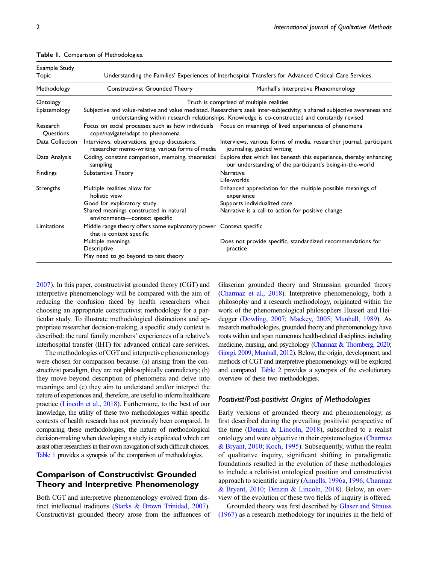| Example Study<br>Topic |                                                                                                                                                                                                                             | Understanding the Families' Experiences of Interhospital Transfers for Advanced Critical Care Services                          |  |
|------------------------|-----------------------------------------------------------------------------------------------------------------------------------------------------------------------------------------------------------------------------|---------------------------------------------------------------------------------------------------------------------------------|--|
| Methodology            | Constructivist Grounded Theory                                                                                                                                                                                              | Munhall's Interpretive Phenomenology                                                                                            |  |
| Ontology               | Truth is comprised of multiple realities                                                                                                                                                                                    |                                                                                                                                 |  |
| Epistemology           | Subjective and value-relative and value mediated. Researchers seek inter-subjectivity; a shared subjective awareness and<br>understanding within research relationships. Knowledge is co-constructed and constantly revised |                                                                                                                                 |  |
| Research<br>Questions  | cope/navigate/adapt to phenomena                                                                                                                                                                                            | Focus on social processes such as how individuals  Focus on meanings of lived experiences of phenomena                          |  |
| Data Collection        | Interviews, observations, group discussions,<br>researcher memo-writing, various forms of media                                                                                                                             | Interviews, various forms of media, researcher journal, participant<br>journaling, guided writing                               |  |
| Data Analysis          | Coding, constant comparison, memoing, theoretical<br>sampling                                                                                                                                                               | Explore that which lies beneath this experience, thereby enhancing<br>our understanding of the participant's being-in-the-world |  |
| <b>Findings</b>        | Substantive Theory                                                                                                                                                                                                          | <b>Narrative</b><br>Life-worlds                                                                                                 |  |
| Strengths              | Multiple realities allow for<br>holistic view                                                                                                                                                                               | Enhanced appreciation for the multiple possible meanings of<br>experience                                                       |  |
|                        | Good for exploratory study                                                                                                                                                                                                  | Supports individualized care                                                                                                    |  |
|                        | Shared meanings constructed in natural<br>environments-context specific                                                                                                                                                     | Narrative is a call to action for positive change                                                                               |  |
| Limitations            | Middle range theory offers some explanatory power Context specific<br>that is context specific                                                                                                                              |                                                                                                                                 |  |
|                        | Multiple meanings<br>Descriptive<br>May need to go beyond to test theory                                                                                                                                                    | Does not provide specific, standardized recommendations for<br>practice                                                         |  |

<span id="page-1-0"></span>Table 1. Comparison of Methodologies.

[2007](#page-12-0)). In this paper, constructivist grounded theory (CGT) and interpretive phenomenology will be compared with the aim of reducing the confusion faced by health researchers when choosing an appropriate constructivist methodology for a particular study. To illustrate methodological distinctions and appropriate researcher decision-making, a specific study context is described: the rural family members' experiences of a relative's interhospital transfer (IHT) for advanced critical care services.

The methodologies of CGT and interpretive phenomenology were chosen for comparison because: (a) arising from the constructivist paradigm, they are not philosophically contradictory; (b) they move beyond description of phenomena and delve into meanings; and (c) they aim to understand and/or interpret the nature of experiences and, therefore, are useful to inform healthcare practice ([Lincoln et al., 2018\)](#page-11-1). Furthermore, to the best of our knowledge, the utility of these two methodologies within specific contexts of health research has not previously been compared. In comparing these methodologies, the nature of methodological decision-making when developing a study is explicated which can assist other researchers in their own navigation of such difficult choices. [Table 1](#page-1-0) provides a synopsis of the comparison of methodologies.

### Comparison of Constructivist Grounded Theory and Interpretive Phenomenology

Both CGT and interpretive phenomenology evolved from distinct intellectual traditions ([Starks & Brown Trinidad, 2007](#page-12-0)). Constructivist grounded theory arose from the influences of Glaserian grounded theory and Straussian grounded theory ([Charmaz et al., 2018](#page-10-0)). Interpretive phenomenology, both a philosophy and a research methodology, originated within the work of the phenomenological philosophers Husserl and Heidegger [\(Dowling, 2007](#page-10-1); [Mackey, 2005;](#page-11-2) [Munhall, 1989](#page-11-3)). As research methodologies, grounded theory and phenomenology have roots within and span numerous health-related disciplines including medicine, nursing, and psychology [\(Charmaz & Thornberg, 2020;](#page-10-2) [Giorgi, 2009;](#page-11-4) [Munhall, 2012](#page-11-5)). Below, the origin, development, and methods of CGT and interpretive phenomenology will be explored and compared. [Table 2](#page-2-0) provides a synopsis of the evolutionary overview of these two methodologies.

### Positivist/Post-positivist Origins of Methodologies

Early versions of grounded theory and phenomenology, as first described during the prevailing positivist perspective of the time (Denzin  $& Lincoln, 2018$ ), subscribed to a realist ontology and were objective in their epistemologies ([Charmaz](#page-10-4) [& Bryant, 2010;](#page-10-4) [Koch, 1995\)](#page-11-6). Subsequently, within the realm of qualitative inquiry, significant shifting in paradigmatic foundations resulted in the evolution of these methodologies to include a relativist ontological position and constructivist approach to scientific inquiry ([Annells, 1996a](#page-10-5), [1996;](#page-10-6) [Charmaz](#page-10-4) [& Bryant, 2010;](#page-10-4) [Denzin & Lincoln, 2018](#page-10-3)). Below, an overview of the evolution of these two fields of inquiry is offered.

Grounded theory was first described by [Glaser and Strauss](#page-11-7) [\(1967\)](#page-11-7) as a research methodology for inquiries in the field of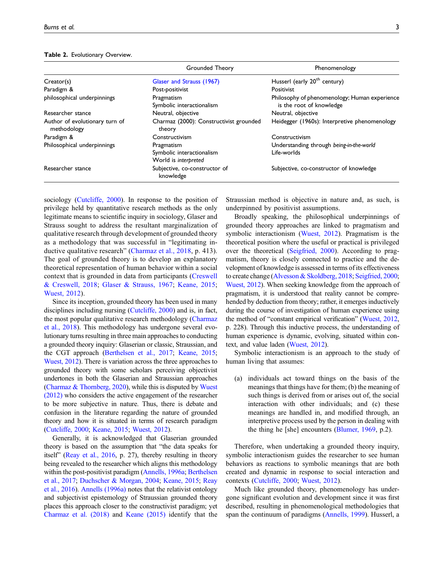|                                               | Grounded Theory                                                 | Phenomenology                                                             |
|-----------------------------------------------|-----------------------------------------------------------------|---------------------------------------------------------------------------|
| Creator(s)                                    | Glaser and Strauss (1967)                                       | Husserl (early 20 <sup>th</sup> century)                                  |
| Paradigm &                                    | Post-positivist                                                 | Positivist                                                                |
| philosophical underpinnings                   | Pragmatism<br>Symbolic interactionalism                         | Philosophy of phenomenology; Human experience<br>is the root of knowledge |
| Researcher stance                             | Neutral, objective                                              | Neutral, objective                                                        |
| Author of evolutionary turn of<br>methodology | Charmaz (2000): Constructivist grounded<br>theory               | Heidegger (1960s): Interpretive phenomenology                             |
| Paradigm &                                    | Constructivism                                                  | Constructivism                                                            |
| Philosophical underpinnings                   | Pragmatism<br>Symbolic interactionalism<br>World is interpreted | Understanding through being-in-the-world<br>Life-worlds                   |
| Researcher stance                             | Subjective, co-constructor of<br>knowledge                      | Subjective, co-constructor of knowledge                                   |

#### <span id="page-2-0"></span>Table 2. Evolutionary Overview.

sociology [\(Cutcliffe, 2000\)](#page-10-7). In response to the position of privilege held by quantitative research methods as the only legitimate means to scientific inquiry in sociology, Glaser and Strauss sought to address the resultant marginalization of qualitative research through development of grounded theory as a methodology that was successful in "legitimating inductive qualitative research" ([Charmaz et al., 2018](#page-10-0), p. 413). The goal of grounded theory is to develop an explanatory theoretical representation of human behavior within a social context that is grounded in data from participants ([Creswell](#page-10-8) [& Creswell, 2018;](#page-10-8) [Glaser & Strauss, 1967;](#page-11-7) [Keane, 2015;](#page-11-8) [Wuest, 2012](#page-12-2)).

Since its inception, grounded theory has been used in many disciplines including nursing ([Cutcliffe, 2000\)](#page-10-7) and is, in fact, the most popular qualitative research methodology ([Charmaz](#page-10-0) [et al., 2018\)](#page-10-0). This methodology has undergone several evolutionary turns resulting in three main approaches to conducting a grounded theory inquiry: Glaserian or classic, Straussian, and the CGT approach [\(Berthelsen et al., 2017;](#page-10-9) [Keane, 2015;](#page-11-8) [Wuest, 2012\)](#page-12-2). There is variation across the three approaches to grounded theory with some scholars perceiving objectivist undertones in both the Glaserian and Straussian approaches [\(Charmaz & Thornberg, 2020](#page-10-2)), while this is disputed by [Wuest](#page-12-2) [\(2012\)](#page-12-2) who considers the active engagement of the researcher to be more subjective in nature. Thus, there is debate and confusion in the literature regarding the nature of grounded theory and how it is situated in terms of research paradigm [\(Cutcliffe, 2000](#page-10-7); [Keane, 2015](#page-11-8); [Wuest, 2012\)](#page-12-2).

Generally, it is acknowledged that Glaserian grounded theory is based on the assumption that "the data speaks for itself" [\(Reay et al., 2016,](#page-11-9) p. 27), thereby resulting in theory being revealed to the researcher which aligns this methodology within the post-positivist paradigm ([Annells, 1996a](#page-10-5); [Berthelsen](#page-10-9) [et al., 2017](#page-10-9); [Duchscher & Morgan, 2004;](#page-10-10) [Keane, 2015](#page-11-8); [Reay](#page-11-9) [et al., 2016\)](#page-11-9). [Annells \(1996a\)](#page-10-5) notes that the relativist ontology and subjectivist epistemology of Straussian grounded theory places this approach closer to the constructivist paradigm; yet [Charmaz et al. \(2018\)](#page-10-0) and [Keane \(2015\)](#page-11-8) identify that the Straussian method is objective in nature and, as such, is underpinned by positivist assumptions.

Broadly speaking, the philosophical underpinnings of grounded theory approaches are linked to pragmatism and symbolic interactionism ([Wuest, 2012](#page-12-2)). Pragmatism is the theoretical position where the useful or practical is privileged over the theoretical ([Seigfried, 2000](#page-12-3)). According to pragmatism, theory is closely connected to practice and the development of knowledge is assessed in terms of its effectiveness to create change ([Alvesson & Skoldberg, 2018;](#page-10-11) [Seigfried, 2000](#page-12-3); [Wuest, 2012](#page-12-2)). When seeking knowledge from the approach of pragmatism, it is understood that reality cannot be comprehended by deduction from theory; rather, it emerges inductively during the course of investigation of human experience using the method of "constant empirical verification" ([Wuest, 2012](#page-12-2), p. 228). Through this inductive process, the understanding of human experience is dynamic, evolving, situated within context, and value laden [\(Wuest, 2012](#page-12-2)).

Symbolic interactionism is an approach to the study of human living that assumes:

(a) individuals act toward things on the basis of the meanings that things have for them; (b) the meaning of such things is derived from or arises out of, the social interaction with other individuals; and (c) these meanings are handled in, and modified through, an interpretive process used by the person in dealing with the thing he [she] encounters ([Blumer, 1969,](#page-10-12) p.2).

Therefore, when undertaking a grounded theory inquiry, symbolic interactionism guides the researcher to see human behaviors as reactions to symbolic meanings that are both created and dynamic in response to social interaction and contexts ([Cutcliffe, 2000](#page-10-7); [Wuest, 2012](#page-12-2)).

Much like grounded theory, phenomenology has undergone significant evolution and development since it was first described, resulting in phenomenological methodologies that span the continuum of paradigms ([Annells, 1999\)](#page-10-13). Husserl, a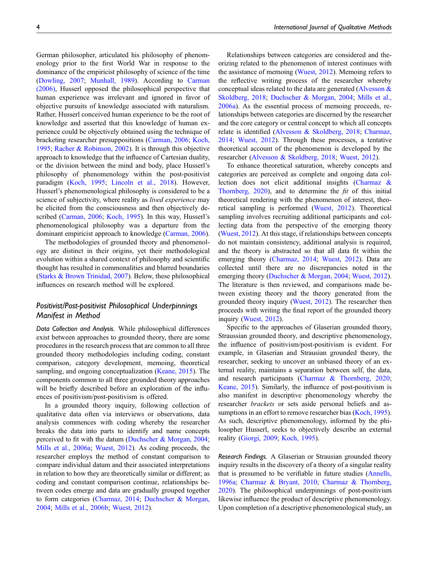German philosopher, articulated his philosophy of phenomenology prior to the first World War in response to the dominance of the empiricist philosophy of science of the time [\(Dowling, 2007;](#page-10-1) [Munhall, 1989](#page-11-3)). According to [Carman](#page-10-14) [\(2006\)](#page-10-14), Husserl opposed the philosophical perspective that human experience was irrelevant and ignored in favor of objective pursuits of knowledge associated with naturalism. Rather, Husserl conceived human experience to be the root of knowledge and asserted that this knowledge of human experience could be objectively obtained using the technique of bracketing researcher presuppositions ([Carman, 2006;](#page-10-14) [Koch,](#page-11-6) [1995](#page-11-6); [Racher & Robinson, 2002](#page-11-10)). It is through this objective approach to knowledge that the influence of Cartesian duality, or the division between the mind and body, place Husserl's philosophy of phenomenology within the post-positivist paradigm ([Koch, 1995;](#page-11-6) [Lincoln et al., 2018](#page-11-1)). However, Husserl's phenomenological philosophy is considered to be a

science of subjectivity, where reality as lived experience may be elicited from the consciousness and then objectively described [\(Carman, 2006;](#page-10-14) [Koch, 1995](#page-11-6)). In this way, Husserl's phenomenological philosophy was a departure from the dominant empiricist approach to knowledge [\(Carman, 2006\)](#page-10-14). The methodologies of grounded theory and phenomenol-

ogy are distinct in their origins, yet their methodological evolution within a shared context of philosophy and scientific thought has resulted in commonalities and blurred boundaries [\(Starks & Brown Trinidad, 2007](#page-12-0)). Below, these philosophical influences on research method will be explored.

### Positivist/Post-positivist Philosophical Underpinnings Manifest in Method

Data Collection and Analysis. While philosophical differences exist between approaches to grounded theory, there are some procedures in the research process that are common to all three grounded theory methodologies including coding, constant comparison, category development, memoing, theoretical sampling, and ongoing conceptualization [\(Keane, 2015\)](#page-11-8). The components common to all three grounded theory approaches will be briefly described before an exploration of the influences of positivism/post-positivism is offered.

In a grounded theory inquiry, following collection of qualitative data often via interviews or observations, data analysis commences with coding whereby the researcher breaks the data into parts to identify and name concepts perceived to fit with the datum ([Duchscher & Morgan, 2004;](#page-10-10) [Mills et al., 2006a](#page-11-11); [Wuest, 2012](#page-12-2)). As coding proceeds, the researcher employs the method of constant comparison to compare individual datum and their associated interpretations in relation to how they are theoretically similar or different; as coding and constant comparison continue, relationships between codes emerge and data are gradually grouped together to form categories ([Charmaz, 2014;](#page-10-15) [Duchscher & Morgan,](#page-10-10) [2004](#page-10-10); [Mills et al., 2006b;](#page-11-12) [Wuest, 2012\)](#page-12-2).

Relationships between categories are considered and theorizing related to the phenomenon of interest continues with the assistance of memoing ([Wuest, 2012\)](#page-12-2). Memoing refers to the reflective writing process of the researcher whereby conceptual ideas related to the data are generated [\(Alvesson &](#page-10-11) [Skoldberg, 2018;](#page-10-11) [Duchscher & Morgan, 2004;](#page-10-10) [Mills et al.,](#page-11-11) [2006a\)](#page-11-11). As the essential process of memoing proceeds, relationships between categories are discerned by the researcher and the core category or central concept to which all concepts relate is identified ([Alvesson & Skoldberg, 2018;](#page-10-11) [Charmaz,](#page-10-15) [2014;](#page-10-15) [Wuest, 2012\)](#page-12-2). Through these processes, a tentative theoretical account of the phenomenon is developed by the researcher ([Alvesson & Skoldberg, 2018](#page-10-11); [Wuest, 2012\)](#page-12-2).

To enhance theoretical saturation, whereby concepts and categories are perceived as complete and ongoing data collection does not elicit additional insights ([Charmaz &](#page-10-2) Thornberg,  $2020$ , and to determine the fit of this initial theoretical rendering with the phenomenon of interest, theoretical sampling is performed ([Wuest, 2012](#page-12-2)). Theoretical sampling involves recruiting additional participants and collecting data from the perspective of the emerging theory ([Wuest, 2012](#page-12-2)). At this stage, if relationships between concepts do not maintain consistency, additional analysis is required, and the theory is abstracted so that all data fit within the emerging theory ([Charmaz, 2014;](#page-10-15) [Wuest, 2012](#page-12-2)). Data are collected until there are no discrepancies noted in the emerging theory ([Duchscher & Morgan, 2004](#page-10-10); [Wuest, 2012\)](#page-12-2). The literature is then reviewed, and comparisons made between existing theory and the theory generated from the grounded theory inquiry [\(Wuest, 2012\)](#page-12-2). The researcher then proceeds with writing the final report of the grounded theory inquiry ([Wuest, 2012\)](#page-12-2).

Specific to the approaches of Glaserian grounded theory, Straussian grounded theory, and descriptive phenomenology, the influence of positivism/post-positivism is evident. For example, in Glaserian and Strausian grounded theory, the researcher, seeking to uncover an unbiased theory of an external reality, maintains a separation between self, the data, and research participants [\(Charmaz & Thornberg, 2020;](#page-10-2) [Keane, 2015](#page-11-8)). Similarly, the influence of post-positivism is also manifest in descriptive phenomenology whereby the researcher brackets or sets aside personal beliefs and as-sumptions in an effort to remove researcher bias ([Koch, 1995\)](#page-11-6). As such, descriptive phenomenology, informed by the philosopher Husserl, seeks to objectively describe an external reality [\(Giorgi, 2009;](#page-11-4) [Koch, 1995](#page-11-6)).

Research Findings. A Glaserian or Strausian grounded theory inquiry results in the discovery of a theory of a singular reality that is presumed to be verifiable in future studies ([Annells,](#page-10-5) [1996a;](#page-10-5) [Charmaz & Bryant, 2010;](#page-10-4) [Charmaz & Thornberg,](#page-10-2) [2020\)](#page-10-2). The philosophical underpinnings of post-positivism likewise influence the product of descriptive phenomenology. Upon completion of a descriptive phenomenological study, an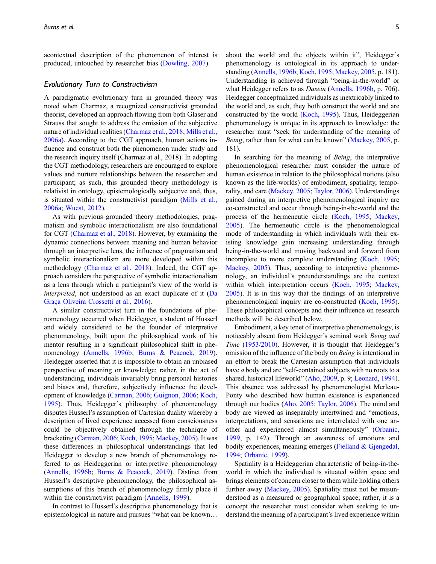acontextual description of the phenomenon of interest is produced, untouched by researcher bias ([Dowling, 2007](#page-10-1)).

#### Evolutionary Turn to Constructivism

A paradigmatic evolutionary turn in grounded theory was noted when Charmaz, a recognized constructivist grounded theorist, developed an approach flowing from both Glaser and Strauss that sought to address the omission of the subjective nature of individual realities ([Charmaz et al., 2018](#page-10-0); [Mills et al.,](#page-11-11) [2006a](#page-11-11)). According to the CGT approach, human actions influence and construct both the phenomenon under study and the research inquiry itself (Charmaz at al., 2018). In adopting the CGT methodology, researchers are encouraged to explore values and nurture relationships between the researcher and participant; as such, this grounded theory methodology is relativist in ontology, epistemologically subjective and, thus, is situated within the constructivist paradigm ([Mills et al.,](#page-11-11) [2006a](#page-11-11); [Wuest, 2012\)](#page-12-2).

As with previous grounded theory methodologies, pragmatism and symbolic interactionalism are also foundational for CGT [\(Charmaz et al., 2018\)](#page-10-0). However, by examining the dynamic connections between meaning and human behavior through an interpretive lens, the influence of pragmatism and symbolic interactionalism are more developed within this methodology ([Charmaz et al., 2018](#page-10-0)). Indeed, the CGT approach considers the perspective of symbolic interactionalism as a lens through which a participant's view of the world is interpreted, not understood as an exact duplicate of it ([Da](#page-10-16) [Graça Oliveira Crossetti et al., 2016](#page-10-16)).

A similar constructivist turn in the foundations of phenomenology occurred when Heidegger, a student of Husserl and widely considered to be the founder of interpretive phenomenology, built upon the philosophical work of his mentor resulting in a significant philosophical shift in phenomenology ([Annells, 1996b](#page-10-6); [Burns & Peacock, 2019\)](#page-10-17). Heidegger asserted that it is impossible to obtain an unbiased perspective of meaning or knowledge; rather, in the act of understanding, individuals invariably bring personal histories and biases and, therefore, subjectively influence the development of knowledge [\(Carman, 2006;](#page-10-14) [Guignon, 2006;](#page-11-13) [Koch,](#page-11-6) [1995\)](#page-11-6). Thus, Heidegger's philosophy of phenomenology disputes Husserl's assumption of Cartesian duality whereby a description of lived experience accessed from consciousness could be objectively obtained through the technique of bracketing ([Carman, 2006](#page-10-14); [Koch, 1995](#page-11-6); [Mackey, 2005\)](#page-11-2). It was these differences in philosophical understandings that led Heidegger to develop a new branch of phenomenology referred to as Heideggerian or interpretive phenomenology [\(Annells, 1996b](#page-10-6); [Burns & Peacock, 2019\)](#page-10-17). Distinct from Husserl's descriptive phenomenology, the philosophical assumptions of this branch of phenomenology firmly place it within the constructivist paradigm [\(Annells, 1999\)](#page-10-13).

In contrast to Husserl's descriptive phenomenology that is epistemological in nature and pursues "what can be known…

about the world and the objects within it", Heidegger's phenomenology is ontological in its approach to understanding ([Annells, 1996b](#page-10-6); [Koch, 1995](#page-11-6); [Mackey, 2005,](#page-11-2) p. 181). Understanding is achieved through "being-in-the-world" or what Heidegger refers to as *Dasein* ([Annells, 1996b,](#page-10-6) p. 706). Heidegger conceptualized individuals as inextricably linked to the world and, as such, they both construct the world and are constructed by the world [\(Koch, 1995\)](#page-11-6). Thus, Heideggerian phenomenology is unique in its approach to knowledge: the researcher must "seek for understanding of the meaning of Being, rather than for what can be known" ([Mackey, 2005](#page-11-2), p. 181).

In searching for the meaning of Being, the interpretive phenomenological researcher must consider the nature of human existence in relation to the philosophical notions (also known as the life-worlds) of embodiment, spatiality, temporality, and care [\(Mackey, 2005](#page-11-2); [Taylor, 2006\)](#page-12-4). Understandings gained during an interpretive phenomenological inquiry are co-constructed and occur through being-in-the-world and the process of the hermeneutic circle [\(Koch, 1995;](#page-11-6) [Mackey,](#page-11-2) [2005](#page-11-2)). The hermeneutic circle is the phenomenological mode of understanding in which individuals with their existing knowledge gain increasing understanding through being-in-the-world and moving backward and forward from incomplete to more complete understanding [\(Koch, 1995](#page-11-6); [Mackey, 2005](#page-11-2)). Thus, according to interpretive phenomenology, an individual's preunderstandings are the context within which interpretation occurs ([Koch, 1995](#page-11-6); [Mackey,](#page-11-2) [2005](#page-11-2)). It is in this way that the findings of an interpretive phenomenological inquiry are co-constructed [\(Koch, 1995](#page-11-6)). These philosophical concepts and their influence on research methods will be described below.

Embodiment, a key tenet of interpretive phenomenology, is noticeably absent from Heidegger's seminal work Being and Time ([1953/2010\)](#page-11-14). However, it is thought that Heidegger's omission of the influence of the body on Being is intentional in an effort to break the Cartesian assumption that individuals have a body and are "self-contained subjects with no roots to a shared, historical lifeworld" [\(Aho, 2009,](#page-10-18) p. 9; [Leonard, 1994](#page-11-15)). This absence was addressed by phenomenologist Merleau-Ponty who described how human existence is experienced through our bodies ([Aho, 2005;](#page-10-19) [Taylor, 2006\)](#page-12-4). The mind and body are viewed as inseparably intertwined and "emotions, interpretations, and sensations are interrelated with one another and experienced almost simultaneously" ([Orbanic,](#page-11-16) [1999](#page-11-16), p. 142). Through an awareness of emotions and bodily experiences, meaning emerges [\(Fjelland & Gjengedal,](#page-11-17) [1994](#page-11-17); [Orbanic, 1999\)](#page-11-16).

Spatiality is a Heideggerian characteristic of being-in-theworld in which the individual is situated within space and brings elements of concern closer to them while holding others further away ([Mackey, 2005\)](#page-11-2). Spatiality must not be misunderstood as a measured or geographical space; rather, it is a concept the researcher must consider when seeking to understand the meaning of a participant's lived experience within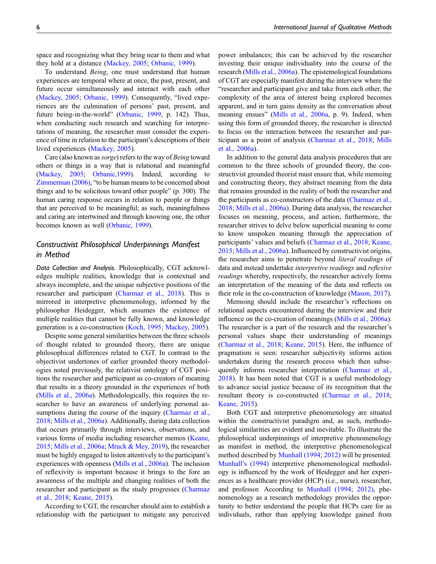space and recognizing what they bring near to them and what they hold at a distance [\(Mackey, 2005;](#page-11-2) [Orbanic, 1999](#page-11-16)).

To understand Being, one must understand that human experiences are temporal where at once, the past, present, and future occur simultaneously and interact with each other [\(Mackey, 2005;](#page-11-2) [Orbanic, 1999\)](#page-11-16). Consequently, "lived experiences are the culmination of persons' past, present, and future being-in-the-world" ([Orbanic, 1999](#page-11-16), p. 142). Thus, when conducting such research and searching for interpretations of meaning, the researcher must consider the experience of time in relation to the participant's descriptions of their lived experiences [\(Mackey, 2005](#page-11-2)).

Care (also known as *sorge*) refers to the way of *Being* toward others or things in a way that is relational and meaningful [\(Mackey, 2005](#page-11-2); [Orbanic,1999](#page-11-16)). Indeed, according to [Zimmerman \(2006\),](#page-12-5) "to be human means to be concerned about things and to be solicitous toward other people" (p. 300). The human caring response occurs in relation to people or things that are perceived to be meaningful; as such, meaningfulness and caring are intertwined and through knowing one, the other becomes known as well ([Orbanic, 1999](#page-11-16)).

### Constructivist Philosophical Underpinnings Manifest in Method

Data Collection and Analysis. Philosophically, CGT acknowledges multiple realities, knowledge that is contextual and always incomplete, and the unique subjective positions of the researcher and participant ([Charmaz et al., 2018](#page-10-0)). This is mirrored in interpretive phenomenology, informed by the philosopher Heidegger, which assumes the existence of multiple realities that cannot be fully known, and knowledge generation is a co-construction ([Koch, 1995;](#page-11-6) [Mackey, 2005\)](#page-11-2).

Despite some general similarities between the three schools of thought related to grounded theory, there are unique philosophical differences related to CGT. In contrast to the objectivist undertones of earlier grounded theory methodologies noted previously, the relativist ontology of CGT positions the researcher and participant as co-creators of meaning that results in a theory grounded in the experiences of both [\(Mills et al., 2006a\)](#page-11-11). Methodologically, this requires the researcher to have an awareness of underlying personal as-sumptions during the course of the inquiry ([Charmaz et al.,](#page-10-0) [2018](#page-10-0); [Mills et al., 2006a\)](#page-11-11). Additionally, during data collection that occurs primarily through interviews, observations, and various forms of media including researcher memos ([Keane,](#page-11-8) [2015](#page-11-8); [Mills et al., 2006a;](#page-11-11) [Mruck & Mey, 2019](#page-11-18)), the researcher must be highly engaged to listen attentively to the participant's experiences with openness ([Mills et al., 2006a\)](#page-11-11). The inclusion of reflexivity is important because it brings to the fore an awareness of the multiple and changing realities of both the researcher and participant as the study progresses [\(Charmaz](#page-10-0) [et al., 2018;](#page-10-0) [Keane, 2015\)](#page-11-8).

According to CGT, the researcher should aim to establish a relationship with the participant to mitigate any perceived

power imbalances; this can be achieved by the researcher investing their unique individuality into the course of the research [\(Mills et al., 2006a](#page-11-11)). The epistemological foundations of CGT are especially manifest during the interview where the "researcher and participant give and take from each other, the complexity of the area of interest being explored becomes apparent, and in turn gains density as the conversation about meaning ensues" ([Mills et al., 2006a](#page-11-11), p. 9). Indeed, when using this form of grounded theory, the researcher is directed to focus on the interaction between the researcher and participant as a point of analysis [\(Charmaz et al., 2018;](#page-10-0) [Mills](#page-11-11) [et al., 2006a\)](#page-11-11).

In addition to the general data analysis procedures that are common to the three schools of grounded theory, the constructivist grounded theorist must ensure that, while memoing and constructing theory, they abstract meaning from the data that remains grounded in the reality of both the researcher and the participants as co-constructors of the data ([Charmaz et al.,](#page-10-0) [2018;](#page-10-0) [Mills et al., 2006a](#page-11-11)). During data analysis, the researcher focuses on meaning, process, and action; furthermore, the researcher strives to delve below superficial meaning to come to know unspoken meaning through the appreciation of participants' values and beliefs ([Charmaz et al., 2018](#page-10-0); [Keane,](#page-11-8) [2015;](#page-11-8) [Mills et al., 2006a\)](#page-11-11). Influenced by constructivist origins, the researcher aims to penetrate beyond literal readings of data and instead undertake interpretive readings and reflexive readings whereby, respectively, the researcher actively forms an interpretation of the meaning of the data and reflects on their role in the co-construction of knowledge ([Mason, 2017\)](#page-11-19).

Memoing should include the researcher's reflections on relational aspects encountered during the interview and their influence on the co-creation of meanings [\(Mills et al., 2006a\)](#page-11-11). The researcher is a part of the research and the researcher's personal values shape their understanding of meanings ([Charmaz et al., 2018](#page-10-0); [Keane, 2015](#page-11-8)). Here, the influence of pragmatism is seen: researcher subjectivity informs action undertaken during the research process which then subsequently informs researcher interpretation ([Charmaz et al.,](#page-10-0) [2018\)](#page-10-0). It has been noted that CGT is a useful methodology to advance social justice because of its recognition that the resultant theory is co-constructed [\(Charmaz et al., 2018;](#page-10-0) [Keane, 2015\)](#page-11-8).

Both CGT and interpretive phenomenology are situated within the constructivist paradigm and, as such, methodological similarities are evident and inevitable. To illustrate the philosophical underpinnings of interpretive phenomenology as manifest in method, the interpretive phenomenological method described by [Munhall \(1994](#page-11-20); [2012\)](#page-11-5) will be presented. Munhall'[s \(1994\)](#page-11-20) interpretive phenomenological methodology is influenced by the work of Heidegger and her experiences as a healthcare provider (HCP) (i.e., nurse), researcher, and professor. According to [Munhall \(1994](#page-11-20); [2012\),](#page-11-5) phenomenology as a research methodology provides the opportunity to better understand the people that HCPs care for as individuals, rather than applying knowledge gained from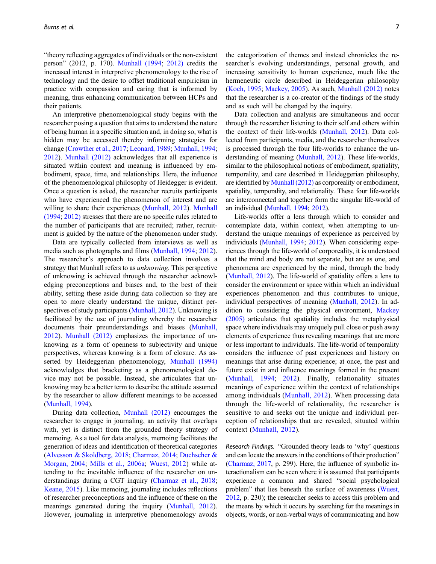"theory reflecting aggregates of individuals or the non-existent person" (2012, p. 170). [Munhall \(1994;](#page-11-20) [2012\)](#page-11-5) credits the increased interest in interpretive phenomenology to the rise of technology and the desire to offset traditional empiricism in practice with compassion and caring that is informed by meaning, thus enhancing communication between HCPs and their patients.

An interpretive phenomenological study begins with the researcher posing a question that aims to understand the nature of being human in a specific situation and, in doing so, what is hidden may be accessed thereby informing strategies for change [\(Crowther et al., 2017;](#page-10-20) [Leonard, 1989;](#page-11-21) [Munhall, 1994;](#page-11-20) [2012\)](#page-11-5). [Munhall \(2012\)](#page-11-5) acknowledges that all experience is situated within context and meaning is influenced by embodiment, space, time, and relationships. Here, the influence of the phenomenological philosophy of Heidegger is evident. Once a question is asked, the researcher recruits participants who have experienced the phenomenon of interest and are willing to share their experiences [\(Munhall, 2012\)](#page-11-5). [Munhall](#page-11-20) [\(1994;](#page-11-20) [2012\)](#page-11-5) stresses that there are no specific rules related to the number of participants that are recruited; rather, recruitment is guided by the nature of the phenomenon under study.

Data are typically collected from interviews as well as media such as photographs and films [\(Munhall, 1994](#page-11-20); [2012\)](#page-11-5). The researcher's approach to data collection involves a strategy that Munhall refers to as unknowing. This perspective of unknowing is achieved through the researcher acknowledging preconceptions and biases and, to the best of their ability, setting these aside during data collection so they are open to more clearly understand the unique, distinct perspectives of study participants [\(Munhall, 2012](#page-11-5)). Unknowing is facilitated by the use of journaling whereby the researcher documents their preunderstandings and biases [\(Munhall,](#page-11-5) [2012\)](#page-11-5). [Munhall \(2012\)](#page-11-5) emphasizes the importance of unknowing as a form of openness to subjectivity and unique perspectives, whereas knowing is a form of closure. As asserted by Heideggerian phenomenology, [Munhall \(1994\)](#page-11-20) acknowledges that bracketing as a phenomenological device may not be possible. Instead, she articulates that unknowing may be a better term to describe the attitude assumed by the researcher to allow different meanings to be accessed [\(Munhall, 1994](#page-11-20)).

During data collection, [Munhall \(2012\)](#page-11-5) encourages the researcher to engage in journaling, an activity that overlaps with, yet is distinct from the grounded theory strategy of memoing. As a tool for data analysis, memoing facilitates the generation of ideas and identification of theoretical categories [\(Alvesson & Skoldberg, 2018;](#page-10-11) [Charmaz, 2014](#page-10-15); [Duchscher &](#page-10-10) [Morgan, 2004;](#page-10-10) [Mills et al., 2006a](#page-11-11); [Wuest, 2012\)](#page-12-2) while attending to the inevitable influence of the researcher on understandings during a CGT inquiry ([Charmaz et al., 2018;](#page-10-0) [Keane, 2015](#page-11-8)). Like memoing, journaling includes reflections of researcher preconceptions and the influence of these on the meanings generated during the inquiry ([Munhall, 2012\)](#page-11-5). However, journaling in interpretive phenomenology avoids

the categorization of themes and instead chronicles the researcher's evolving understandings, personal growth, and increasing sensitivity to human experience, much like the hermeneutic circle described in Heideggerian philosophy ([Koch, 1995](#page-11-6); [Mackey, 2005](#page-11-2)). As such, [Munhall \(2012\)](#page-11-5) notes that the researcher is a co-creator of the findings of the study and as such will be changed by the inquiry.

Data collection and analysis are simultaneous and occur through the researcher listening to their self and others within the context of their life-worlds [\(Munhall, 2012\)](#page-11-5). Data collected from participants, media, and the researcher themselves is processed through the four life-worlds to enhance the understanding of meaning [\(Munhall, 2012\)](#page-11-5). These life-worlds, similar to the philosophical notions of embodiment, spatiality, temporality, and care described in Heideggerian philosophy, are identified by [Munhall \(2012\)](#page-11-5) as corporeality or embodiment, spatiality, temporality, and relationality. These four life-worlds are interconnected and together form the singular life-world of an individual ([Munhall, 1994](#page-11-20); [2012\)](#page-11-5).

Life-worlds offer a lens through which to consider and contemplate data, within context, when attempting to understand the unique meanings of experience as perceived by individuals ([Munhall, 1994](#page-11-20); [2012](#page-11-5)). When considering experiences through the life-world of corporeality, it is understood that the mind and body are not separate, but are as one, and phenomena are experienced by the mind, through the body ([Munhall, 2012\)](#page-11-5). The life-world of spatiality offers a lens to consider the environment or space within which an individual experiences phenomenon and thus contributes to unique, individual perspectives of meaning ([Munhall, 2012\)](#page-11-5). In addition to considering the physical environment, [Mackey](#page-11-2) [\(2005\)](#page-11-2) articulates that spatiality includes the metaphysical space where individuals may uniquely pull close or push away elements of experience thus revealing meanings that are more or less important to individuals. The life-world of temporality considers the influence of past experiences and history on meanings that arise during experience; at once, the past and future exist in and influence meanings formed in the present ([Munhall, 1994;](#page-11-20) [2012](#page-11-5)). Finally, relationality situates meanings of experience within the context of relationships among individuals ([Munhall, 2012\)](#page-11-5). When processing data through the life-world of relationality, the researcher is sensitive to and seeks out the unique and individual perception of relationships that are revealed, situated within context [\(Munhall, 2012](#page-11-5)).

Research Findings. "Grounded theory leads to 'why' questions and can locate the answers in the conditions of their production" [\(Charmaz, 2017,](#page-10-21) p. 299). Here, the influence of symbolic interactionalism can be seen where it is assumed that participants experience a common and shared "social psychological problem" that lies beneath the surface of awareness [\(Wuest,](#page-12-2) [2012,](#page-12-2) p. 230); the researcher seeks to access this problem and the means by which it occurs by searching for the meanings in objects, words, or non-verbal ways of communicating and how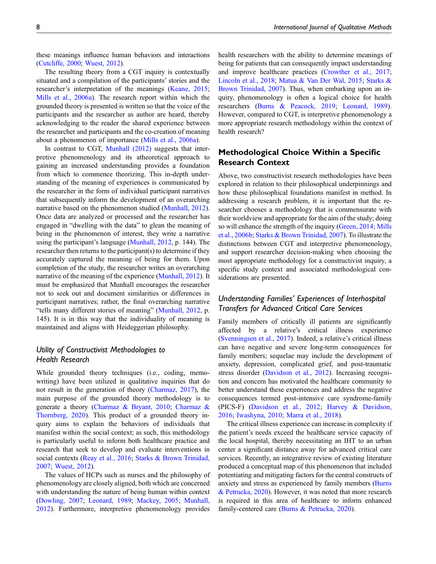these meanings influence human behaviors and interactions [\(Cutcliffe, 2000](#page-10-7); [Wuest, 2012](#page-12-2)).

The resulting theory from a CGT inquiry is contextually situated and a compilation of the participants' stories and the researcher's interpretation of the meanings ([Keane, 2015;](#page-11-8) [Mills et al., 2006a\)](#page-11-11). The research report within which the grounded theory is presented is written so that the voice of the participants and the researcher as author are heard, thereby acknowledging to the reader the shared experience between the researcher and participants and the co-creation of meaning about a phenomenon of importance [\(Mills et al., 2006a\)](#page-11-11).

In contrast to CGT, [Munhall \(2012\)](#page-11-5) suggests that interpretive phenomenology and its atheoretical approach to gaining an increased understanding provides a foundation from which to commence theorizing. This in-depth understanding of the meaning of experiences is communicated by the researcher in the form of individual participant narratives that subsequently inform the development of an overarching narrative based on the phenomenon studied [\(Munhall, 2012\)](#page-11-5). Once data are analyzed or processed and the researcher has engaged in "dwelling with the data" to glean the meaning of being in the phenomenon of interest, they write a narrative using the participant's language [\(Munhall, 2012](#page-11-5), p. 144). The researcher then returns to the participant(s) to determine if they accurately captured the meaning of being for them. Upon completion of the study, the researcher writes an overarching narrative of the meaning of the experience [\(Munhall, 2012\)](#page-11-5). It must be emphasized that Munhall encourages the researcher not to seek out and document similarities or differences in participant narratives; rather, the final overarching narrative "tells many different stories of meaning" [\(Munhall, 2012,](#page-11-5) p. 145). It is in this way that the individuality of meaning is maintained and aligns with Heideggerian philosophy.

### Utility of Constructivist Methodologies to Health Research

While grounded theory techniques (i.e., coding, memowriting) have been utilized in qualitative inquiries that do not result in the generation of theory ([Charmaz, 2017](#page-10-21)), the main purpose of the grounded theory methodology is to generate a theory ([Charmaz & Bryant, 2010;](#page-10-4) [Charmaz &](#page-10-2) [Thornberg, 2020](#page-10-2)). This product of a grounded theory inquiry aims to explain the behaviors of individuals that manifest within the social context; as such, this methodology is particularly useful to inform both healthcare practice and research that seek to develop and evaluate interventions in social contexts [\(Reay et al., 2016;](#page-11-9) [Starks & Brown Trinidad,](#page-12-0) [2007](#page-12-0); [Wuest, 2012\)](#page-12-2).

The values of HCPs such as nurses and the philosophy of phenomenology are closely aligned, both which are concerned with understanding the nature of being human within context [\(Dowling, 2007;](#page-10-1) [Leonard, 1989;](#page-11-21) [Mackey, 2005;](#page-11-2) [Munhall,](#page-11-5) [2012](#page-11-5)). Furthermore, interpretive phenomenology provides

health researchers with the ability to determine meanings of being for patients that can consequently impact understanding and improve healthcare practices ([Crowther et al., 2017;](#page-10-20) [Lincoln et al., 2018;](#page-11-1) [Matua & Van Der Wal, 2015;](#page-11-22) [Starks &](#page-12-0) [Brown Trinidad, 2007\)](#page-12-0). Thus, when embarking upon an inquiry, phenomenology is often a logical choice for health researchers ([Burns & Peacock, 2019](#page-10-17); [Leonard, 1989\)](#page-11-21). However, compared to CGT, is interpretive phenomenology a more appropriate research methodology within the context of health research?

### Methodological Choice Within a Specific Research Context

Above, two constructivist research methodologies have been explored in relation to their philosophical underpinnings and how these philosophical foundations manifest in method. In addressing a research problem, it is important that the researcher chooses a methodology that is commensurate with their worldview and appropriate for the aim of the study; doing so will enhance the strength of the inquiry ([Green, 2014;](#page-11-0) [Mills](#page-11-12) [et al., 2006b;](#page-11-12) [Starks & Brown Trinidad, 2007](#page-12-0)). To illustrate the distinctions between CGT and interpretive phenomenology, and support researcher decision-making when choosing the most appropriate methodology for a constructivist inquiry, a specific study context and associated methodological considerations are presented.

### Understanding Families' Experiences of Interhospital Transfers for Advanced Critical Care Services

Family members of critically ill patients are significantly affected by a relative's critical illness experience ([Svenningsen et al., 2017](#page-12-6)). Indeed, a relative's critical illness can have negative and severe long-term consequences for family members; sequelae may include the development of anxiety, depression, complicated grief, and post-traumatic stress disorder [\(Davidson et al., 2012](#page-10-22)). Increasing recognition and concern has motivated the healthcare community to better understand these experiences and address the negative consequences termed post-intensive care syndrome-family (PICS-F) ([Davidson et al., 2012](#page-10-22); [Harvey & Davidson,](#page-11-23) [2016;](#page-11-23) [Iwashyna, 2010](#page-11-24); [Marra et al., 2018](#page-11-25)).

The critical illness experience can increase in complexity if the patient's needs exceed the healthcare service capacity of the local hospital, thereby necessitating an IHT to an urban center a significant distance away for advanced critical care services. Recently, an integrative review of existing literature produced a conceptual map of this phenomenon that included potentiating and mitigating factors for the central constructs of anxiety and stress as experienced by family members ([Burns](#page-10-23) [& Petrucka, 2020\)](#page-10-23). However, it was noted that more research is required in this area of healthcare to inform enhanced family-centered care [\(Burns & Petrucka, 2020](#page-10-23)).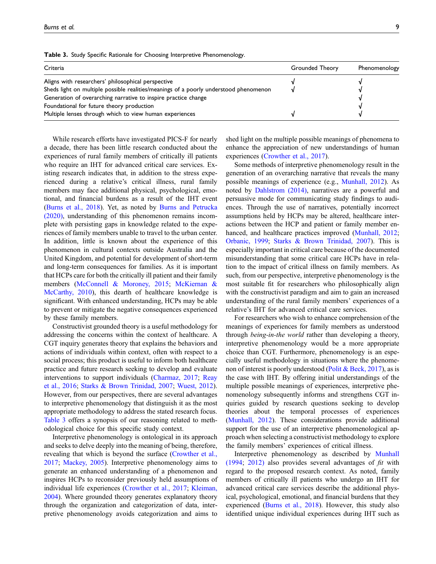| Criteria                                                                              | Grounded Theory | Phenomenology |
|---------------------------------------------------------------------------------------|-----------------|---------------|
| Aligns with researchers' philosophical perspective                                    |                 |               |
| Sheds light on multiple possible realities/meanings of a poorly understood phenomenon |                 |               |
| Generation of overarching narrative to inspire practice change                        |                 |               |
| Foundational for future theory production                                             |                 |               |
| Multiple lenses through which to view human experiences                               |                 |               |

<span id="page-8-0"></span>Table 3. Study Specific Rationale for Choosing Interpretive Phenomenology.

While research efforts have investigated PICS-F for nearly a decade, there has been little research conducted about the experiences of rural family members of critically ill patients who require an IHT for advanced critical care services. Existing research indicates that, in addition to the stress experienced during a relative's critical illness, rural family members may face additional physical, psychological, emotional, and financial burdens as a result of the IHT event [\(Burns et al., 2018\)](#page-10-24). Yet, as noted by [Burns and Petrucka](#page-10-23) [\(2020\)](#page-10-23), understanding of this phenomenon remains incomplete with persisting gaps in knowledge related to the experiences of family members unable to travel to the urban center. In addition, little is known about the experience of this phenomenon in cultural contexts outside Australia and the United Kingdom, and potential for development of short-term and long-term consequences for families. As it is important that HCPs care for both the critically ill patient and their family members ([McConnell & Moroney, 2015](#page-11-26); [McKiernan &](#page-11-27) [McCarthy, 2010](#page-11-27)), this dearth of healthcare knowledge is significant. With enhanced understanding, HCPs may be able to prevent or mitigate the negative consequences experienced by these family members.

Constructivist grounded theory is a useful methodology for addressing the concerns within the context of healthcare. A CGT inquiry generates theory that explains the behaviors and actions of individuals within context, often with respect to a social process; this product is useful to inform both healthcare practice and future research seeking to develop and evaluate interventions to support individuals [\(Charmaz, 2017;](#page-10-21) [Reay](#page-11-9) [et al., 2016;](#page-11-9) [Starks & Brown Trinidad, 2007;](#page-12-0) [Wuest, 2012\)](#page-12-2). However, from our perspectives, there are several advantages to interpretive phenomenology that distinguish it as the most appropriate methodology to address the stated research focus. [Table 3](#page-8-0) offers a synopsis of our reasoning related to methodological choice for this specific study context.

Interpretive phenomenology is ontological in its approach and seeks to delve deeply into the meaning of being, therefore, revealing that which is beyond the surface ([Crowther et al.,](#page-10-20) [2017;](#page-10-20) [Mackey, 2005\)](#page-11-2). Interpretive phenomenology aims to generate an enhanced understanding of a phenomenon and inspires HCPs to reconsider previously held assumptions of individual life experiences [\(Crowther et al., 2017;](#page-10-20) [Kleiman,](#page-11-28) [2004\)](#page-11-28). Where grounded theory generates explanatory theory through the organization and categorization of data, interpretive phenomenology avoids categorization and aims to shed light on the multiple possible meanings of phenomena to enhance the appreciation of new understandings of human experiences [\(Crowther et al., 2017\)](#page-10-20).

Some methods of interpretive phenomenology result in the generation of an overarching narrative that reveals the many possible meanings of experience (e.g., [Munhall, 2012\)](#page-11-5). As noted by [Dahlstrom \(2014\),](#page-10-25) narratives are a powerful and persuasive mode for communicating study findings to audiences. Through the use of narratives, potentially incorrect assumptions held by HCPs may be altered, healthcare interactions between the HCP and patient or family member en-hanced, and healthcare practices improved [\(Munhall, 2012](#page-11-5); [Orbanic, 1999;](#page-11-16) [Starks & Brown Trinidad, 2007\)](#page-12-0). This is especially important in critical care because of the documented misunderstanding that some critical care HCPs have in relation to the impact of critical illness on family members. As such, from our perspective, interpretive phenomenology is the most suitable fit for researchers who philosophically align with the constructivist paradigm and aim to gain an increased understanding of the rural family members' experiences of a relative's IHT for advanced critical care services.

For researchers who wish to enhance comprehension of the meanings of experiences for family members as understood through being-in-the world rather than developing a theory, interpretive phenomenology would be a more appropriate choice than CGT. Furthermore, phenomenology is an especially useful methodology in situations where the phenomenon of interest is poorly understood [\(Polit & Beck, 2017](#page-11-29)), as is the case with IHT. By offering initial understandings of the multiple possible meanings of experiences, interpretive phenomenology subsequently informs and strengthens CGT inquiries guided by research questions seeking to develop theories about the temporal processes of experiences ([Munhall, 2012](#page-11-5)). These considerations provide additional support for the use of an interpretive phenomenological approach when selecting a constructivist methodology to explore the family members' experiences of critical illness.

Interpretive phenomenology as described by [Munhall](#page-11-20) [\(1994](#page-11-20); [2012\)](#page-11-5) also provides several advantages of  $fit$  with regard to the proposed research context. As noted, family members of critically ill patients who undergo an IHT for advanced critical care services describe the additional physical, psychological, emotional, and financial burdens that they experienced ([Burns et al., 2018](#page-10-24)). However, this study also identified unique individual experiences during IHT such as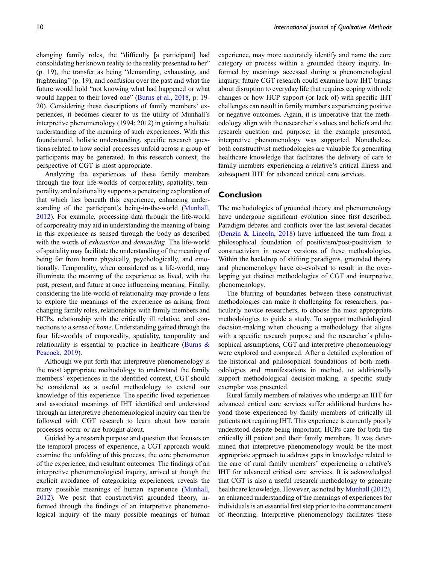changing family roles, the "difficulty [a participant] had consolidating her known reality to the reality presented to her" (p. 19), the transfer as being "demanding, exhausting, and frightening" (p. 19), and confusion over the past and what the future would hold "not knowing what had happened or what would happen to their loved one" [\(Burns et al., 2018](#page-10-24), p. 19- 20). Considering these descriptions of family members' experiences, it becomes clearer to us the utility of Munhall's interpretive phenomenology (1994; 2012) in gaining a holistic understanding of the meaning of such experiences. With this foundational, holistic understanding, specific research questions related to how social processes unfold across a group of participants may be generated. In this research context, the perspective of CGT is most appropriate.

Analyzing the experiences of these family members through the four life-worlds of corporeality, spatiality, temporality, and relationality supports a penetrating exploration of that which lies beneath this experience, enhancing understanding of the participant's being-in-the-world ([Munhall,](#page-11-5) [2012](#page-11-5)). For example, processing data through the life-world of corporeality may aid in understanding the meaning of being in this experience as sensed through the body as described with the words of *exhaustion* and *demanding*. The life-world of spatiality may facilitate the understanding of the meaning of being far from home physically, psychologically, and emotionally. Temporality, when considered as a life-world, may illuminate the meaning of the experience as lived, with the past, present, and future at once influencing meaning. Finally, considering the life-world of relationality may provide a lens to explore the meanings of the experience as arising from changing family roles, relationships with family members and HCPs, relationship with the critically ill relative, and connections to a sense of home. Understanding gained through the four life-worlds of corporeality, spatiality, temporality and relationality is essential to practice in healthcare (Burns  $\&$ [Peacock, 2019\)](#page-10-17).

Although we put forth that interpretive phenomenology is the most appropriate methodology to understand the family members' experiences in the identified context, CGT should be considered as a useful methodology to extend our knowledge of this experience. The specific lived experiences and associated meanings of IHT identified and understood through an interpretive phenomenological inquiry can then be followed with CGT research to learn about how certain processes occur or are brought about.

Guided by a research purpose and question that focuses on the temporal process of experience, a CGT approach would examine the unfolding of this process, the core phenomenon of the experience, and resultant outcomes. The findings of an interpretive phenomenological inquiry, arrived at though the explicit avoidance of categorizing experiences, reveals the many possible meanings of human experience ([Munhall,](#page-11-5) [2012](#page-11-5)). We posit that constructivist grounded theory, informed through the findings of an interpretive phenomenological inquiry of the many possible meanings of human experience, may more accurately identify and name the core category or process within a grounded theory inquiry. Informed by meanings accessed during a phenomenological inquiry, future CGT research could examine how IHT brings about disruption to everyday life that requires coping with role changes or how HCP support (or lack of) with specific IHT challenges can result in family members experiencing positive or negative outcomes. Again, it is imperative that the methodology align with the researcher's values and beliefs and the research question and purpose; in the example presented, interpretive phenomenology was supported. Nonetheless, both constructivist methodologies are valuable for generating healthcare knowledge that facilitates the delivery of care to family members experiencing a relative's critical illness and subsequent IHT for advanced critical care services.

### Conclusion

The methodologies of grounded theory and phenomenology have undergone significant evolution since first described. Paradigm debates and conflicts over the last several decades ([Denzin & Lincoln, 2018](#page-10-3)) have influenced the turn from a philosophical foundation of positivism/post-positivism to constructivism in newer versions of these methodologies. Within the backdrop of shifting paradigms, grounded theory and phenomenology have co-evolved to result in the overlapping yet distinct methodologies of CGT and interpretive phenomenology.

The blurring of boundaries between these constructivist methodologies can make it challenging for researchers, particularly novice researchers, to choose the most appropriate methodologies to guide a study. To support methodological decision-making when choosing a methodology that aligns with a specific research purpose and the researcher's philosophical assumptions, CGT and interpretive phenomenology were explored and compared. After a detailed exploration of the historical and philosophical foundations of both methodologies and manifestations in method, to additionally support methodological decision-making, a specific study exemplar was presented.

Rural family members of relatives who undergo an IHT for advanced critical care services suffer additional burdens beyond those experienced by family members of critically ill patients not requiring IHT. This experience is currently poorly understood despite being important; HCPs care for both the critically ill patient and their family members. It was determined that interpretive phenomenology would be the most appropriate approach to address gaps in knowledge related to the care of rural family members' experiencing a relative's IHT for advanced critical care services. It is acknowledged that CGT is also a useful research methodology to generate healthcare knowledge. However, as noted by [Munhall \(2012\),](#page-11-5) an enhanced understanding of the meanings of experiences for individuals is an essential first step prior to the commencement of theorizing. Interpretive phenomenology facilitates these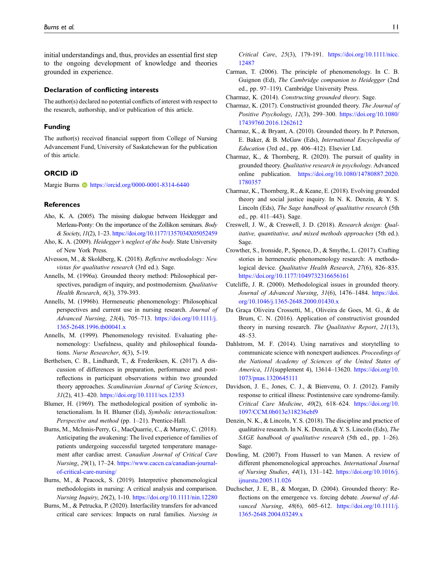initial understandings and, thus, provides an essential first step to the ongoing development of knowledge and theories grounded in experience.

#### Declaration of conflicting interests

The author(s) declared no potential conflicts of interest with respect to the research, authorship, and/or publication of this article.

#### Funding

The author(s) received financial support from College of Nursing Advancement Fund, University of Saskatchewan for the publication of this article.

### ORCID iD

Margie Burns **b** <https://orcid.org/0000-0001-8314-6440>

#### **References**

- <span id="page-10-19"></span>Aho, K. A. (2005). The missing dialogue between Heidegger and Merleau-Ponty: On the importance of the Zollikon seminars. *Body* & Society, 11(2), 1–23. <https://doi.org/10.1177/1357034X05052459>
- <span id="page-10-18"></span>Aho, K. A. (2009). Heidegger's neglect of the body. State University of New York Press.
- <span id="page-10-11"></span>Alvesson, M., & Skoldberg, K. (2018). Reflexive methodology: New vistas for qualitative research (3rd ed.). Sage.
- <span id="page-10-5"></span>Annells, M. (1996a). Grounded theory method: Philosophical perspectives, paradigm of inquiry, and postmodernism. Qualitative Health Research, 6(3), 379-393.
- <span id="page-10-6"></span>Annells, M. (1996b). Hermeneutic phenomenology: Philosophical perspectives and current use in nursing research. Journal of Advanced Nursing, 23(4), 705–713. [https://doi.org/10.1111/j.](https://doi.org/10.1111/j.1365-2648.1996.tb00041.x) [1365-2648.1996.tb00041.x](https://doi.org/10.1111/j.1365-2648.1996.tb00041.x)
- <span id="page-10-13"></span>Annells, M. (1999). Phenomenology revisited. Evaluating phenomenology: Usefulness, quality and philosophical foundations. Nurse Researcher, 6(3), 5-19.
- <span id="page-10-9"></span>Berthelsen, C. B., Lindhardt, T., & Frederiksen, K. (2017). A discussion of differences in preparation, performance and postreflections in participant observations within two grounded theory approaches. Scandinavian Journal of Caring Sciences, 31(2), 413–420. <https://doi.org/10.1111/scs.12353>
- <span id="page-10-12"></span>Blumer, H. (1969). The methodological position of symbolic interactionalism. In H. Blumer (Ed), Symbolic interactionalism: Perspective and method (pp. 1–21). Prentice-Hall.
- <span id="page-10-24"></span>Burns, M., McInnis-Perry, G., MacQuarrie, C., & Murray, C. (2018). Anticipating the awakening: The lived experience of families of patients undergoing successful targeted temperature management after cardiac arrest. Canadian Journal of Critical Care Nursing, 29(1), 17–24. [https://www.caccn.ca/canadian-journal](https://www.caccn.ca/canadian-journal-of-critical-care-nursing/)[of-critical-care-nursing/](https://www.caccn.ca/canadian-journal-of-critical-care-nursing/)
- <span id="page-10-17"></span>Burns, M., & Peacock, S. (2019). Interpretive phenomenological methodologists in nursing: A critical analysis and comparison. Nursing Inquiry, 26(2), 1-10. <https://doi.org/10.1111/nin.12280>
- <span id="page-10-23"></span>Burns, M., & Petrucka, P. (2020). Interfacility transfers for advanced critical care services: Impacts on rural families. Nursing in

Critical Care, 25(3), 179-191. [https://doi.org/10.1111/nicc.](https://doi.org/10.1111/nicc.12487) [12487](https://doi.org/10.1111/nicc.12487)

- <span id="page-10-14"></span>Carman, T. (2006). The principle of phenomenology. In C. B. Guignon (Ed), The Cambridge companion to Heidegger (2nd ed., pp. 97–119). Cambridge University Press.
- <span id="page-10-21"></span><span id="page-10-15"></span>Charmaz, K. (2014). Constructing grounded theory. Sage.
- Charmaz, K. (2017). Constructivist grounded theory. The Journal of Positive Psychology, 12(3), 299–300. [https://doi.org/10.1080/](https://doi.org/10.1080/17439760.2016.1262612) [17439760.2016.1262612](https://doi.org/10.1080/17439760.2016.1262612)
- <span id="page-10-4"></span>Charmaz, K., & Bryant, A. (2010). Grounded theory. In P. Peterson, E. Baker, & B. McGaw (Eds), International Encyclopedia of Education (3rd ed., pp. 406–412). Elsevier Ltd.
- <span id="page-10-2"></span>Charmaz, K., & Thornberg, R. (2020). The pursuit of quality in grounded theory. Qualitative research in psychology. Advanced online publication. [https://doi.org/10.1080/14780887.2020.](https://doi.org/10.1080/14780887.2020.1780357) [1780357](https://doi.org/10.1080/14780887.2020.1780357)
- <span id="page-10-0"></span>Charmaz, K., Thornberg, R., & Keane, E. (2018). Evolving grounded theory and social justice inquiry. In N. K. Denzin, & Y. S. Lincoln (Eds), The Sage handbook of qualitative research (5th ed., pp. 411–443). Sage.
- <span id="page-10-8"></span>Creswell, J. W., & Creswell, J. D. (2018). Research design: Qualitative, quantitative, and mixed methods approaches (5th ed.). Sage.
- <span id="page-10-20"></span>Crowther, S., Ironside, P., Spence, D., & Smythe, L. (2017). Crafting stories in hermeneutic phenomenology research: A methodological device. Qualitative Health Research, 27(6), 826–835. <https://doi.org/10.1177/1049732316656161>
- <span id="page-10-7"></span>Cutcliffe, J. R. (2000). Methodological issues in grounded theory. Journal of Advanced Nursing, 31(6), 1476-1484. [https://doi.](https://doi.org/10.1046/j.1365-2648.2000.01430.x) [org/10.1046/j.1365-2648.2000.01430.x](https://doi.org/10.1046/j.1365-2648.2000.01430.x)
- <span id="page-10-16"></span>Da Graça Oliveira Crossetti, M., Oliveira de Goes, M. G., & de Brum, C. N. (2016). Application of constructivist grounded theory in nursing research. The Qualitative Report, 21(13), 48–53.
- <span id="page-10-25"></span>Dahlstrom, M. F. (2014). Using narratives and storytelling to communicate science with nonexpert audiences. Proceedings of the National Academy of Sciences of the United States of America, 111(supplement 4), 13614–13620. [https://doi.org/10.](https://doi.org/10.1073/pnas.1320645111) [1073/pnas.1320645111](https://doi.org/10.1073/pnas.1320645111)
- <span id="page-10-22"></span>Davidson, J. E., Jones, C. J., & Bienvenu, O. J. (2012). Family response to critical illness: Postintensive care syndrome-family. Critical Care Medicine, 40(2), 618–624. [https://doi.org/10.](https://doi.org/10.1097/CCM.0b013e318236ebf9) [1097/CCM.0b013e318236ebf9](https://doi.org/10.1097/CCM.0b013e318236ebf9)
- <span id="page-10-3"></span>Denzin, N. K., & Lincoln, Y. S. (2018). The discipline and practice of qualitative research. In N. K. Denzin, & Y. S. Lincoln (Eds), The SAGE handbook of qualitative research (5th ed., pp. 1–26). Sage.
- <span id="page-10-1"></span>Dowling, M. (2007). From Husserl to van Manen. A review of different phenomenological approaches. International Journal of Nursing Studies, 44(1), 131–142. [https://doi.org/10.1016/j.](https://doi.org/10.1016/j.ijnurstu.2005.11.026) [ijnurstu.2005.11.026](https://doi.org/10.1016/j.ijnurstu.2005.11.026)
- <span id="page-10-10"></span>Duchscher, J. E, B., & Morgan, D. (2004). Grounded theory: Reflections on the emergence vs. forcing debate. Journal of Advanced Nursing, 48(6), 605–612. [https://doi.org/10.1111/j.](https://doi.org/10.1111/j.1365-2648.2004.03249.x) [1365-2648.2004.03249.x](https://doi.org/10.1111/j.1365-2648.2004.03249.x)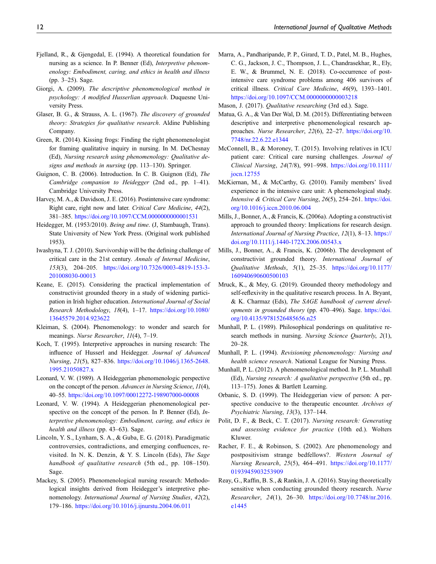- <span id="page-11-17"></span>Fjelland, R., & Gjengedal, E. (1994). A theoretical foundation for nursing as a science. In P. Benner (Ed), Interpretive phenomenology: Embodiment, caring, and ethics in health and illness (pp. 3–25). Sage.
- <span id="page-11-4"></span>Giorgi, A. (2009). The descriptive phenomenological method in psychology: A modified Husserlian approach. Duquesne University Press.
- <span id="page-11-7"></span>Glaser, B. G., & Strauss, A. L. (1967). The discovery of grounded theory: Strategies for qualitative research. Aldine Publishing Company.
- <span id="page-11-0"></span>Green, R. (2014). Kissing frogs: Finding the right phenomenologist for framing qualitative inquiry in nursing. In M. DeChesnay (Ed), Nursing research using phenomenology: Qualitative designs and methods in nursing (pp. 113–130). Springer.
- <span id="page-11-13"></span>Guignon, C. B. (2006). Introduction. In C. B. Guignon (Ed), The Cambridge companion to Heidegger (2nd ed., pp. 1–41). Cambridge University Press.
- <span id="page-11-23"></span>Harvey, M. A., & Davidson, J. E. (2016). Postintensive care syndrome: Right care, right now and later. Critical Care Medicine, 44(2), 381–385. <https://doi.org/10.1097/CCM.0000000000001531>
- <span id="page-11-14"></span>Heidegger, M. (1953/2010). Being and time. (J, Stambaugh, Trans). State University of New York Press. (Original work published 1953).
- <span id="page-11-24"></span>Iwashyna, T. J. (2010). Survivorship will be the defining challenge of critical care in the 21st century. Annals of Internal Medicine, 153(3), 204–205. [https://doi.org/10.7326/0003-4819-153-3-](https://doi.org/10.7326/0003-4819-153-3-201008030-00013) [201008030-00013](https://doi.org/10.7326/0003-4819-153-3-201008030-00013)
- <span id="page-11-8"></span>Keane, E. (2015). Considering the practical implementation of constructivist grounded theory in a study of widening participation in Irish higher education. International Journal of Social Research Methodology, 18(4), 1–17. [https://doi.org/10.1080/](https://doi.org/10.1080/13645579.2014.923622) [13645579.2014.923622](https://doi.org/10.1080/13645579.2014.923622)
- <span id="page-11-28"></span>Kleiman, S. (2004). Phenomenology: to wonder and search for meanings. Nurse Researcher, 11(4), 7–19.
- <span id="page-11-6"></span>Koch, T. (1995). Interpretive approaches in nursing research: The influence of Husserl and Heidegger. Journal of Advanced Nursing, 21(5), 827–836. [https://doi.org/10.1046/j.1365-2648.](https://doi.org/10.1046/j.1365-2648.1995.21050827.x) [1995.21050827.x](https://doi.org/10.1046/j.1365-2648.1995.21050827.x)
- <span id="page-11-21"></span>Leonard, V. W. (1989). A Heideggerian phenomenologic perspective on the concept of the person. Advances in Nursing Science, 11(4), 40–55. <https://doi.org/10.1097/00012272-198907000-00008>
- <span id="page-11-15"></span>Leonard, V. W. (1994). A Heideggerian phenomenological perspective on the concept of the person. In P. Benner (Ed), *In*terpretive phenomenology: Embodiment, caring, and ethics in health and illness (pp. 43-63). Sage.
- <span id="page-11-1"></span>Lincoln, Y. S., Lynham, S. A., & Guba, E. G. (2018). Paradigmatic controversies, contradictions, and emerging confluences, revisited. In N. K. Denzin, & Y. S. Lincoln (Eds), The Sage handbook of qualitative research (5th ed., pp. 108-150). Sage.
- <span id="page-11-2"></span>Mackey, S. (2005). Phenomenological nursing research: Methodological insights derived from Heidegger's interpretive phenomenology. International Journal of Nursing Studies, 42(2), 179–186. <https://doi.org/10.1016/j.ijnurstu.2004.06.011>

<span id="page-11-25"></span>Marra, A., Pandharipande, P. P., Girard, T. D., Patel, M. B., Hughes, C. G., Jackson, J. C., Thompson, J. L., Chandrasekhar, R., Ely, E. W., & Brummel, N. E. (2018). Co-occurrence of postintensive care syndrome problems among 406 survivors of critical illness. Critical Care Medicine, 46(9), 1393–1401. <https://doi.org/10.1097/CCM.0000000000003218>

<span id="page-11-22"></span><span id="page-11-19"></span>Mason, J. (2017). Qualitative researching (3rd ed.). Sage.

- Matua, G. A., & Van Der Wal, D. M. (2015). Differentiating between descriptive and interpretive phenomenological research approaches. Nurse Researcher, 22(6), 22–27. [https://doi.org/10.](https://doi.org/10.7748/nr.22.6.22.e1344) [7748/nr.22.6.22.e1344](https://doi.org/10.7748/nr.22.6.22.e1344)
- <span id="page-11-26"></span>McConnell, B., & Moroney, T. (2015). Involving relatives in ICU patient care: Critical care nursing challenges. Journal of Clinical Nursing, 24(7/8), 991–998. [https://doi.org/10.1111/](https://doi.org/10.1111/jocn.12755) [jocn.12755](https://doi.org/10.1111/jocn.12755)
- <span id="page-11-27"></span>McKiernan, M., & McCarthy, G. (2010). Family members' lived experience in the intensive care unit: A phemenological study. Intensive & Critical Care Nursing, 26(5), 254–261. [https://doi.](https://doi.org/10.1016/j.iccn.2010.06.004) [org/10.1016/j.iccn.2010.06.004](https://doi.org/10.1016/j.iccn.2010.06.004)
- <span id="page-11-11"></span>Mills, J., Bonner, A., & Francis, K. (2006a). Adopting a constructivist approach to grounded theory: Implications for research design. International Journal of Nursing Practice, 12(1), 8–13. [https://](https://doi.org/10.1111/j.1440-172X.2006.00543.x) [doi.org/10.1111/j.1440-172X.2006.00543.x](https://doi.org/10.1111/j.1440-172X.2006.00543.x)
- <span id="page-11-12"></span>Mills, J., Bonner, A., & Francis, K. (2006b). The development of constructivist grounded theory. International Journal of Qualitative Methods, 5(1), 25–35. [https://doi.org/10.1177/](https://doi.org/10.1177/160940690600500103) [160940690600500103](https://doi.org/10.1177/160940690600500103)
- <span id="page-11-18"></span>Mruck, K., & Mey, G. (2019). Grounded theory methodology and self-reflexivity in the qualitative research process. In A. Bryant, & K. Charmaz (Eds), The SAGE handbook of current developments in grounded theory (pp. 470–496). Sage. [https://doi.](https://doi.org/10.4135/9781526485656.n25) [org/10.4135/9781526485656.n25](https://doi.org/10.4135/9781526485656.n25)
- <span id="page-11-3"></span>Munhall, P. L. (1989). Philosophical ponderings on qualitative research methods in nursing. Nursing Science Quarterly, 2(1), 20–28.
- <span id="page-11-20"></span>Munhall, P. L. (1994). Revisioning phenomenology: Nursing and health science research. National League for Nursing Press.
- <span id="page-11-5"></span>Munhall, P. L. (2012). A phenomenological method. In P. L. Munhall (Ed), Nursing research: A qualitative perspective (5th ed., pp. 113–175). Jones & Bartlett Learning.
- <span id="page-11-16"></span>Orbanic, S. D. (1999). The Heideggerian view of person: A perspective conducive to the therapeutic encounter. Archives of Psychiatric Nursing, 13(3), 137–144.
- <span id="page-11-29"></span>Polit, D. F., & Beck, C. T. (2017). Nursing research: Generating and assessing evidence for practice (10th ed.). Wolters Kluwer.
- <span id="page-11-10"></span>Racher, F. E., & Robinson, S. (2002). Are phenomenology and postpositivism strange bedfellows?. Western Journal of Nursing Research, 25(5), 464–491. [https://doi.org/10.1177/](https://doi.org/10.1177/0193945903253909) [0193945903253909](https://doi.org/10.1177/0193945903253909)
- <span id="page-11-9"></span>Reay, G., Raffin, B. S., & Rankin, J. A. (2016). Staying theoretically sensitive when conducting grounded theory research. Nurse Researcher, 24(1), 26–30. [https://doi.org/10.7748/nr.2016.](https://doi.org/10.7748/nr.2016.e1445) [e1445](https://doi.org/10.7748/nr.2016.e1445)